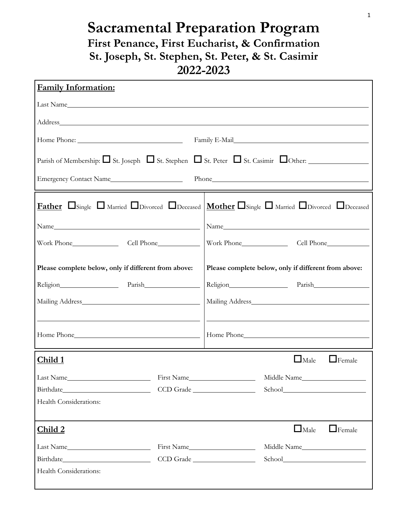## **Sacramental Preparation Program First Penance, First Eucharist, & Confirmation St. Joseph, St. Stephen, St. Peter, & St. Casimir 2022-2023**

| <b>Family Information:</b>                                                                                                                                                                                                                               |            |                                                      |                                                                                                                                                                                                                                |  |  |
|----------------------------------------------------------------------------------------------------------------------------------------------------------------------------------------------------------------------------------------------------------|------------|------------------------------------------------------|--------------------------------------------------------------------------------------------------------------------------------------------------------------------------------------------------------------------------------|--|--|
|                                                                                                                                                                                                                                                          |            |                                                      |                                                                                                                                                                                                                                |  |  |
|                                                                                                                                                                                                                                                          |            |                                                      |                                                                                                                                                                                                                                |  |  |
|                                                                                                                                                                                                                                                          |            |                                                      |                                                                                                                                                                                                                                |  |  |
| Parish of Membership: $\Box$ St. Joseph $\Box$ St. Stephen $\Box$ St. Peter $\Box$ St. Casimir $\Box$ Other:                                                                                                                                             |            |                                                      |                                                                                                                                                                                                                                |  |  |
| Emergency Contact Name<br>Phone experience and the state of the state of the state of the state of the state of the state of the state of the state of the state of the state of the state of the state of the state of the state of the state of the st |            |                                                      |                                                                                                                                                                                                                                |  |  |
| <b>Father</b> $\Box$ Single $\Box$ Married $\Box$ Divorced $\Box$ Deceased $\Box$ Mother $\Box$ Single $\Box$ Married $\Box$ Divorced $\Box$ Deceased                                                                                                    |            |                                                      |                                                                                                                                                                                                                                |  |  |
|                                                                                                                                                                                                                                                          |            |                                                      |                                                                                                                                                                                                                                |  |  |
|                                                                                                                                                                                                                                                          |            |                                                      |                                                                                                                                                                                                                                |  |  |
| Please complete below, only if different from above:                                                                                                                                                                                                     |            | Please complete below, only if different from above: |                                                                                                                                                                                                                                |  |  |
| Religion Parish                                                                                                                                                                                                                                          |            | Religion Parish                                      |                                                                                                                                                                                                                                |  |  |
|                                                                                                                                                                                                                                                          |            |                                                      |                                                                                                                                                                                                                                |  |  |
|                                                                                                                                                                                                                                                          |            |                                                      |                                                                                                                                                                                                                                |  |  |
| Home Phone None Contract the Mone Contract of Home Phone Contract of Home Phone Contract of the Mone Contract of Home Phone Contract of the Mone Contract of the Mone Contract of the Mone Contract of the Mone Contract of th                           |            |                                                      |                                                                                                                                                                                                                                |  |  |
| Child 1                                                                                                                                                                                                                                                  |            |                                                      | $\Box$ Male<br>$\Box$ Female                                                                                                                                                                                                   |  |  |
| Last Name                                                                                                                                                                                                                                                | First Name |                                                      | Middle Name                                                                                                                                                                                                                    |  |  |
| Birthdate                                                                                                                                                                                                                                                |            | CCD Grade                                            | School and the second second second second second second second second second second second second second second second second second second second second second second second second second second second second second seco |  |  |
| Health Considerations:                                                                                                                                                                                                                                   |            |                                                      |                                                                                                                                                                                                                                |  |  |
| Child 2                                                                                                                                                                                                                                                  |            |                                                      | $\Box$ Male<br>$\Box$ Female                                                                                                                                                                                                   |  |  |
| Last Name                                                                                                                                                                                                                                                | First Name |                                                      | Middle Name                                                                                                                                                                                                                    |  |  |
| Birthdate CCD Grade                                                                                                                                                                                                                                      |            |                                                      |                                                                                                                                                                                                                                |  |  |
| Health Considerations:                                                                                                                                                                                                                                   |            |                                                      |                                                                                                                                                                                                                                |  |  |